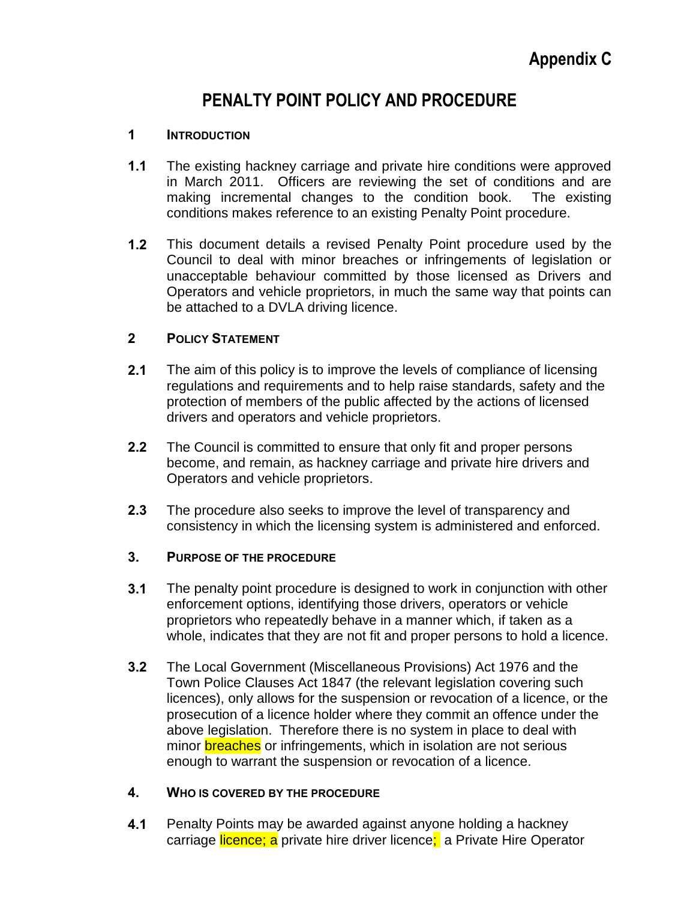# **PENALTY POINT POLICY AND PROCEDURE**

#### **1 INTRODUCTION**

- **1.1** The existing hackney carriage and private hire conditions were approved in March 2011. Officers are reviewing the set of conditions and are making incremental changes to the condition book. The existing conditions makes reference to an existing Penalty Point procedure.
- **1.2** This document details a revised Penalty Point procedure used by the Council to deal with minor breaches or infringements of legislation or unacceptable behaviour committed by those licensed as Drivers and Operators and vehicle proprietors, in much the same way that points can be attached to a DVLA driving licence.

#### **2 POLICY STATEMENT**

- **2.1** The aim of this policy is to improve the levels of compliance of licensing regulations and requirements and to help raise standards, safety and the protection of members of the public affected by the actions of licensed drivers and operators and vehicle proprietors.
- **2.2** The Council is committed to ensure that only fit and proper persons become, and remain, as hackney carriage and private hire drivers and Operators and vehicle proprietors.
- **2.3** The procedure also seeks to improve the level of transparency and consistency in which the licensing system is administered and enforced.

#### **3. PURPOSE OF THE PROCEDURE**

- **3.1** The penalty point procedure is designed to work in conjunction with other enforcement options, identifying those drivers, operators or vehicle proprietors who repeatedly behave in a manner which, if taken as a whole, indicates that they are not fit and proper persons to hold a licence.
- **3.2** The Local Government (Miscellaneous Provisions) Act 1976 and the Town Police Clauses Act 1847 (the relevant legislation covering such licences), only allows for the suspension or revocation of a licence, or the prosecution of a licence holder where they commit an offence under the above legislation. Therefore there is no system in place to deal with minor **breaches** or infringements, which in isolation are not serious enough to warrant the suspension or revocation of a licence.

#### **4. WHO IS COVERED BY THE PROCEDURE**

**4.1** Penalty Points may be awarded against anyone holding a hackney carriage licence; a private hire driver licence; a Private Hire Operator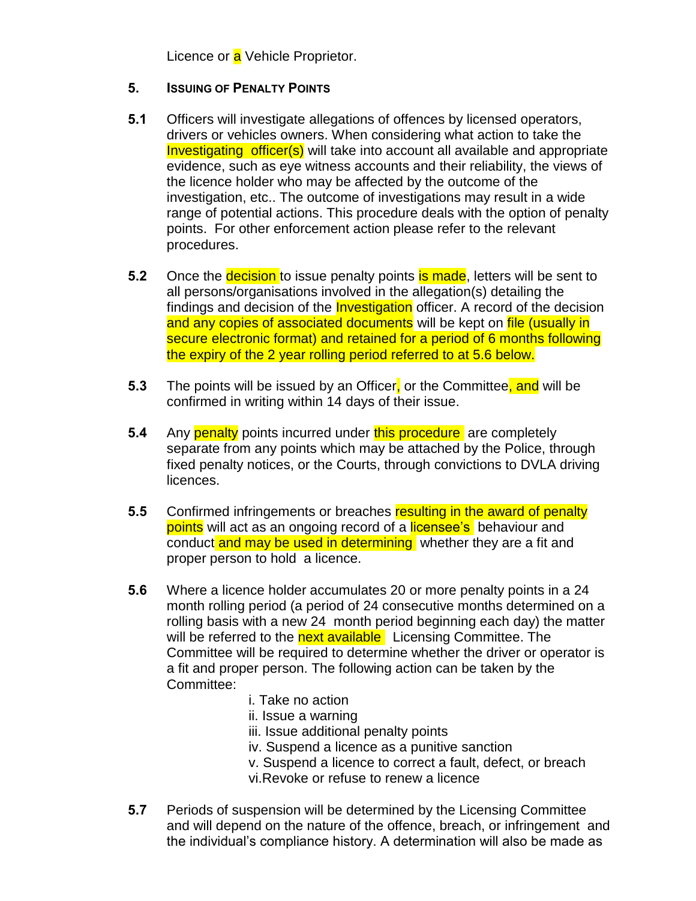Licence or a Vehicle Proprietor.

### **5. ISSUING OF PENALTY POINTS**

- **5.1** Officers will investigate allegations of offences by licensed operators, drivers or vehicles owners. When considering what action to take the Investigating officer(s) will take into account all available and appropriate evidence, such as eye witness accounts and their reliability, the views of the licence holder who may be affected by the outcome of the investigation, etc.. The outcome of investigations may result in a wide range of potential actions. This procedure deals with the option of penalty points. For other enforcement action please refer to the relevant procedures.
- **5.2** Once the **decision** to issue penalty points **is made**, letters will be sent to all persons/organisations involved in the allegation(s) detailing the findings and decision of the **Investigation** officer. A record of the decision and any copies of associated documents will be kept on file (usually in secure electronic format) and retained for a period of 6 months following the expiry of the 2 year rolling period referred to at 5.6 below.
- **5.3** The points will be issued by an Officer, or the Committee, and will be confirmed in writing within 14 days of their issue.
- **5.4** Any **penalty** points incurred under this procedure are completely separate from any points which may be attached by the Police, through fixed penalty notices, or the Courts, through convictions to DVLA driving licences.
- **5.5** Confirmed infringements or breaches resulting in the award of penalty points will act as an ongoing record of a licensee's behaviour and conduct and may be used in determining whether they are a fit and proper person to hold a licence.
- **5.6** Where a licence holder accumulates 20 or more penalty points in a 24 month rolling period (a period of 24 consecutive months determined on a rolling basis with a new 24 month period beginning each day) the matter will be referred to the next available Licensing Committee. The Committee will be required to determine whether the driver or operator is a fit and proper person. The following action can be taken by the Committee:
	- i. Take no action
	- ii. Issue a warning
	- iii. Issue additional penalty points
	- iv. Suspend a licence as a punitive sanction
	- v. Suspend a licence to correct a fault, defect, or breach
	- vi.Revoke or refuse to renew a licence
- **5.7** Periods of suspension will be determined by the Licensing Committee and will depend on the nature of the offence, breach, or infringement and the individual's compliance history. A determination will also be made as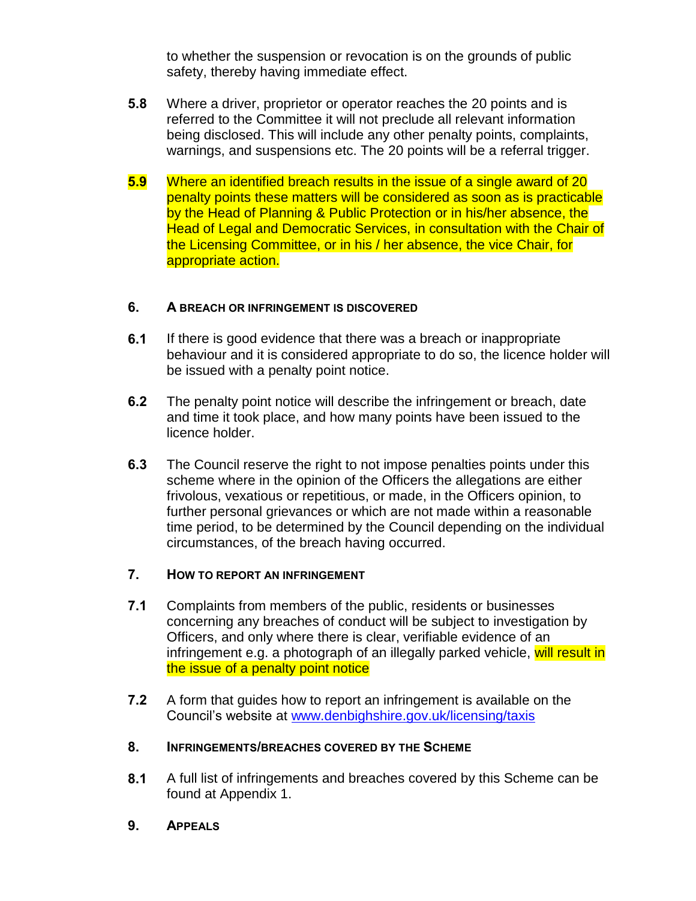to whether the suspension or revocation is on the grounds of public safety, thereby having immediate effect.

- **5.8** Where a driver, proprietor or operator reaches the 20 points and is referred to the Committee it will not preclude all relevant information being disclosed. This will include any other penalty points, complaints, warnings, and suspensions etc. The 20 points will be a referral trigger.
- **5.9** Where an identified breach results in the issue of a single award of 20 penalty points these matters will be considered as soon as is practicable by the Head of Planning & Public Protection or in his/her absence, the Head of Legal and Democratic Services, in consultation with the Chair of the Licensing Committee, or in his / her absence, the vice Chair, for appropriate action.

#### **6. A BREACH OR INFRINGEMENT IS DISCOVERED**

- **6.1** If there is good evidence that there was a breach or inappropriate behaviour and it is considered appropriate to do so, the licence holder will be issued with a penalty point notice.
- **6.2** The penalty point notice will describe the infringement or breach, date and time it took place, and how many points have been issued to the licence holder.
- **6.3** The Council reserve the right to not impose penalties points under this scheme where in the opinion of the Officers the allegations are either frivolous, vexatious or repetitious, or made, in the Officers opinion, to further personal grievances or which are not made within a reasonable time period, to be determined by the Council depending on the individual circumstances, of the breach having occurred.

#### **7. HOW TO REPORT AN INFRINGEMENT**

- **7.1** Complaints from members of the public, residents or businesses concerning any breaches of conduct will be subject to investigation by Officers, and only where there is clear, verifiable evidence of an infringement e.g. a photograph of an illegally parked vehicle, will result in the issue of a penalty point notice
- **7.2** A form that guides how to report an infringement is available on the Council's website at [www.denbighshire.gov.uk/licensing/taxis](http://www.denbighshire.gov.uk/licensing/taxis)

#### **8. INFRINGEMENTS/BREACHES COVERED BY THE SCHEME**

- **8.1** A full list of infringements and breaches covered by this Scheme can be found at Appendix 1.
- **9. APPEALS**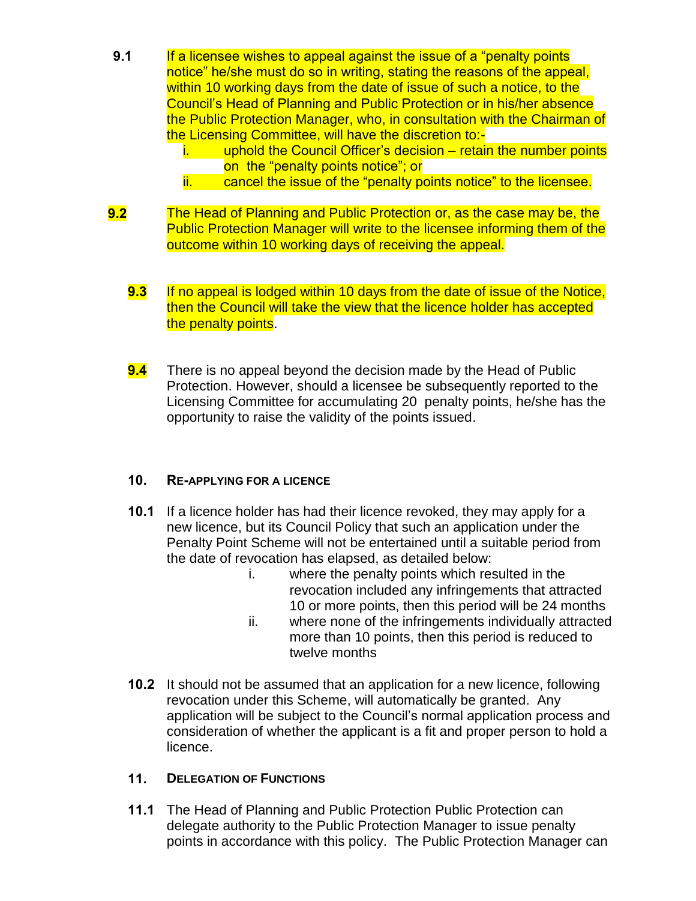- **9.1** If a licensee wishes to appeal against the issue of a "penalty points" notice" he/she must do so in writing, stating the reasons of the appeal, within 10 working days from the date of issue of such a notice, to the Council's Head of Planning and Public Protection or in his/her absence the Public Protection Manager, who, in consultation with the Chairman of the Licensing Committee, will have the discretion to:
	- i. uphold the Council Officer's decision retain the number points on the "penalty points notice"; or
	- ii. cancel the issue of the "penalty points notice" to the licensee.
- **9.2** The Head of Planning and Public Protection or, as the case may be, the Public Protection Manager will write to the licensee informing them of the outcome within 10 working days of receiving the appeal.
	- **9.3** If no appeal is lodged within 10 days from the date of issue of the Notice, then the Council will take the view that the licence holder has accepted the penalty points.
	- **9.4** There is no appeal beyond the decision made by the Head of Public Protection. However, should a licensee be subsequently reported to the Licensing Committee for accumulating 20 penalty points, he/she has the opportunity to raise the validity of the points issued.

#### **10. RE-APPLYING FOR A LICENCE**

- **10.1** If a licence holder has had their licence revoked, they may apply for a new licence, but its Council Policy that such an application under the Penalty Point Scheme will not be entertained until a suitable period from the date of revocation has elapsed, as detailed below:
	- i. where the penalty points which resulted in the revocation included any infringements that attracted 10 or more points, then this period will be 24 months
	- ii. where none of the infringements individually attracted more than 10 points, then this period is reduced to twelve months
- **10.2** It should not be assumed that an application for a new licence, following revocation under this Scheme, will automatically be granted. Any application will be subject to the Council's normal application process and consideration of whether the applicant is a fit and proper person to hold a licence.

#### **11. DELEGATION OF FUNCTIONS**

**11.1** The Head of Planning and Public Protection Public Protection can delegate authority to the Public Protection Manager to issue penalty points in accordance with this policy. The Public Protection Manager can